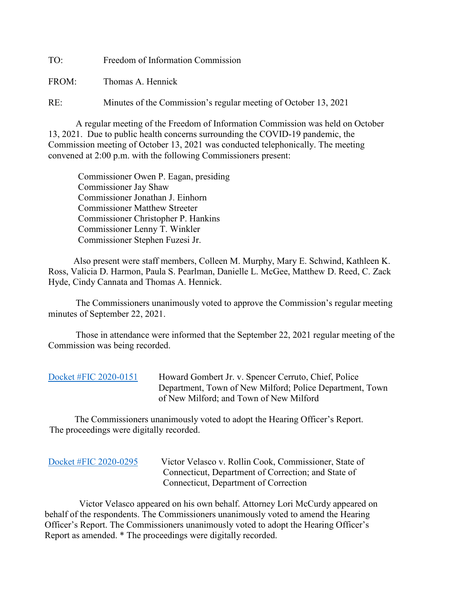TO: Freedom of Information Commission

FROM: Thomas A. Hennick

RE: Minutes of the Commission's regular meeting of October 13, 2021

A regular meeting of the Freedom of Information Commission was held on October 13, 2021. Due to public health concerns surrounding the COVID-19 pandemic, the Commission meeting of October 13, 2021 was conducted telephonically. The meeting convened at 2:00 p.m. with the following Commissioners present:

 Commissioner Owen P. Eagan, presiding Commissioner Jay Shaw Commissioner Jonathan J. Einhorn Commissioner Matthew Streeter Commissioner Christopher P. Hankins Commissioner Lenny T. Winkler Commissioner Stephen Fuzesi Jr.

 Also present were staff members, Colleen M. Murphy, Mary E. Schwind, Kathleen K. Ross, Valicia D. Harmon, Paula S. Pearlman, Danielle L. McGee, Matthew D. Reed, C. Zack Hyde, Cindy Cannata and Thomas A. Hennick.

The Commissioners unanimously voted to approve the Commission's regular meeting minutes of September 22, 2021.

 Those in attendance were informed that the September 22, 2021 regular meeting of the Commission was being recorded.

| Docket #FIC 2020-0151 | Howard Gombert Jr. v. Spencer Cerruto, Chief, Police     |
|-----------------------|----------------------------------------------------------|
|                       | Department, Town of New Milford; Police Department, Town |
|                       | of New Milford; and Town of New Milford                  |

 The Commissioners unanimously voted to adopt the Hearing Officer's Report. The proceedings were digitally recorded.

| Docket #FIC 2020-0295 |
|-----------------------|
|-----------------------|

Victor Velasco v. Rollin Cook, Commissioner, State of Connecticut, Department of Correction; and State of Connecticut, Department of Correction

 Victor Velasco appeared on his own behalf. Attorney Lori McCurdy appeared on behalf of the respondents. The Commissioners unanimously voted to amend the Hearing Officer's Report. The Commissioners unanimously voted to adopt the Hearing Officer's Report as amended. \* The proceedings were digitally recorded.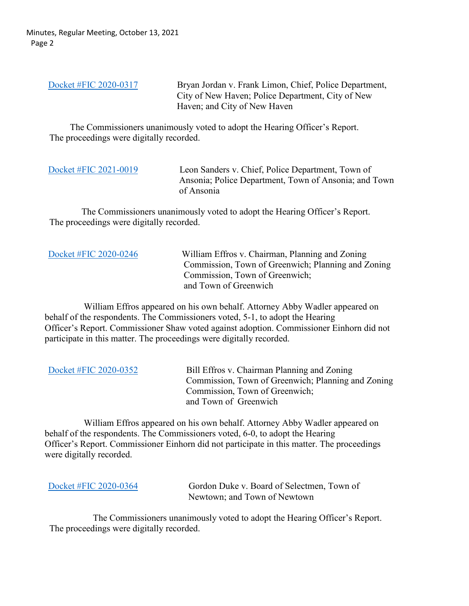Minutes, Regular Meeting, October 13, 2021 Page 2

[Docket #FIC 2020-0317](https://portal.ct.gov/-/media/FOI/FinalDecisions/2021/Oct13/2020-0317.pdf) Bryan Jordan v. Frank Limon, Chief, Police Department, City of New Haven; Police Department, City of New Haven; and City of New Haven

 The Commissioners unanimously voted to adopt the Hearing Officer's Report. The proceedings were digitally recorded.

[Docket #FIC 2021-0019](https://portal.ct.gov/-/media/FOI/FinalDecisions/2021/Oct13/2021-0019.pdf) Leon Sanders v. Chief, Police Department, Town of Ansonia; Police Department, Town of Ansonia; and Town of Ansonia

 The Commissioners unanimously voted to adopt the Hearing Officer's Report. The proceedings were digitally recorded.

[Docket #FIC 2020-0246](https://portal.ct.gov/-/media/FOI/FinalDecisions/2021/Oct13/2020-0246.pdf) William Effros v. Chairman, Planning and Zoning Commission, Town of Greenwich; Planning and Zoning Commission, Town of Greenwich; and Town of Greenwich

 William Effros appeared on his own behalf. Attorney Abby Wadler appeared on behalf of the respondents. The Commissioners voted, 5-1, to adopt the Hearing Officer's Report. Commissioner Shaw voted against adoption. Commissioner Einhorn did not participate in this matter. The proceedings were digitally recorded.

[Docket #FIC 2020-0352](https://portal.ct.gov/-/media/FOI/FinalDecisions/2021/Oct13/2020-0352.pdf) Bill Effros v. Chairman Planning and Zoning Commission, Town of Greenwich; Planning and Zoning Commission, Town of Greenwich; and Town of Greenwich

 William Effros appeared on his own behalf. Attorney Abby Wadler appeared on behalf of the respondents. The Commissioners voted, 6-0, to adopt the Hearing Officer's Report. Commissioner Einhorn did not participate in this matter. The proceedings were digitally recorded.

Docket [#FIC 2020-0364](https://portal.ct.gov/-/media/FOI/FinalDecisions/2021/Oct13/2020-0364.pdf) Gordon Duke v. Board of Selectmen, Town of Newtown; and Town of Newtown

 The Commissioners unanimously voted to adopt the Hearing Officer's Report. The proceedings were digitally recorded.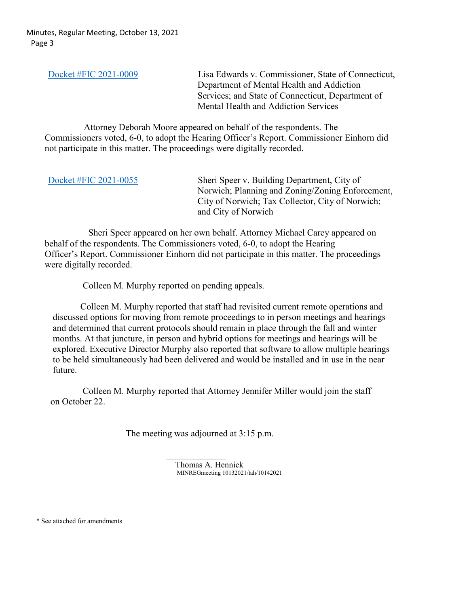[Docket #FIC 2021-0009](https://portal.ct.gov/-/media/FOI/FinalDecisions/2021/Oct13/2021-0009.pdf) Lisa Edwards v. Commissioner, State of Connecticut, Department of Mental Health and Addiction Services; and State of Connecticut, Department of Mental Health and Addiction Services

 Attorney Deborah Moore appeared on behalf of the respondents. The Commissioners voted, 6-0, to adopt the Hearing Officer's Report. Commissioner Einhorn did not participate in this matter. The proceedings were digitally recorded.

[Docket #FIC 2021-0055](https://portal.ct.gov/-/media/FOI/FinalDecisions/2021/Oct13/2021-0055.pdf) Sheri Speer v. Building Department, City of Norwich; Planning and Zoning/Zoning Enforcement, City of Norwich; Tax Collector, City of Norwich; and City of Norwich

 Sheri Speer appeared on her own behalf. Attorney Michael Carey appeared on behalf of the respondents. The Commissioners voted, 6-0, to adopt the Hearing Officer's Report. Commissioner Einhorn did not participate in this matter. The proceedings were digitally recorded.

Colleen M. Murphy reported on pending appeals.

 Colleen M. Murphy reported that staff had revisited current remote operations and discussed options for moving from remote proceedings to in person meetings and hearings and determined that current protocols should remain in place through the fall and winter months. At that juncture, in person and hybrid options for meetings and hearings will be explored. Executive Director Murphy also reported that software to allow multiple hearings to be held simultaneously had been delivered and would be installed and in use in the near future.

 Colleen M. Murphy reported that Attorney Jennifer Miller would join the staff on October 22.

The meeting was adjourned at 3:15 p.m.

Thomas A. Hennick MINREGmeeting 10132021/tah/10142021

\* See attached for amendments

 $\mathcal{L}_\text{max}$  and  $\mathcal{L}_\text{max}$  are the set of the set of the set of the set of the set of the set of the set of the set of the set of the set of the set of the set of the set of the set of the set of the set of the set o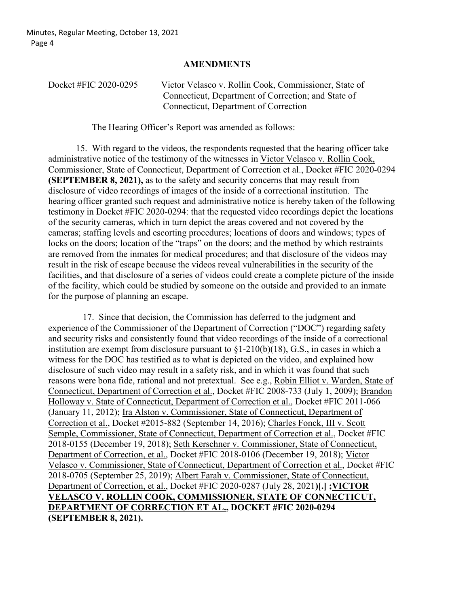## **AMENDMENTS**

| Docket #FIC 2020-0295 | Victor Velasco v. Rollin Cook, Commissioner, State of |
|-----------------------|-------------------------------------------------------|
|                       | Connecticut, Department of Correction; and State of   |
|                       | Connecticut, Department of Correction                 |

The Hearing Officer's Report was amended as follows:

15. With regard to the videos, the respondents requested that the hearing officer take administrative notice of the testimony of the witnesses in Victor Velasco v. Rollin Cook, Commissioner, State of Connecticut, Department of Correction et al., Docket #FIC 2020-0294 **(SEPTEMBER 8, 2021), as to the safety and security concerns that may result from** disclosure of video recordings of images of the inside of a correctional institution. The hearing officer granted such request and administrative notice is hereby taken of the following testimony in Docket #FIC 2020-0294: that the requested video recordings depict the locations of the security cameras, which in turn depict the areas covered and not covered by the cameras; staffing levels and escorting procedures; locations of doors and windows; types of locks on the doors; location of the "traps" on the doors; and the method by which restraints are removed from the inmates for medical procedures; and that disclosure of the videos may result in the risk of escape because the videos reveal vulnerabilities in the security of the facilities, and that disclosure of a series of videos could create a complete picture of the inside of the facility, which could be studied by someone on the outside and provided to an inmate for the purpose of planning an escape.

 17. Since that decision, the Commission has deferred to the judgment and experience of the Commissioner of the Department of Correction ("DOC") regarding safety and security risks and consistently found that video recordings of the inside of a correctional institution are exempt from disclosure pursuant to  $\S1-210(b)(18)$ , G.S., in cases in which a witness for the DOC has testified as to what is depicted on the video, and explained how disclosure of such video may result in a safety risk, and in which it was found that such reasons were bona fide, rational and not pretextual. See e.g., Robin Elliot v. Warden, State of Connecticut, Department of Correction et al., Docket #FIC 2008-733 (July 1, 2009); Brandon Holloway v. State of Connecticut, Department of Correction et al., Docket #FIC 2011-066 (January 11, 2012); Ira Alston v. Commissioner, State of Connecticut, Department of Correction et al., Docket #2015-882 (September 14, 2016); Charles Fonck, III v. Scott Semple, Commissioner, State of Connecticut, Department of Correction et al., Docket #FIC 2018-0155 (December 19, 2018); Seth Kerschner v. Commissioner, State of Connecticut, Department of Correction, et al., Docket #FIC 2018-0106 (December 19, 2018); Victor Velasco v. Commissioner, State of Connecticut, Department of Correction et al., Docket #FIC 2018-0705 (September 25, 2019); Albert Farah v. Commissioner, State of Connecticut, Department of Correction, et al., Docket #FIC 2020-0287 (July 28, 2021**)[.] ;VICTOR VELASCO V. ROLLIN COOK, COMMISSIONER, STATE OF CONNECTICUT, DEPARTMENT OF CORRECTION ET AL., DOCKET #FIC 2020-0294 (SEPTEMBER 8, 2021).**